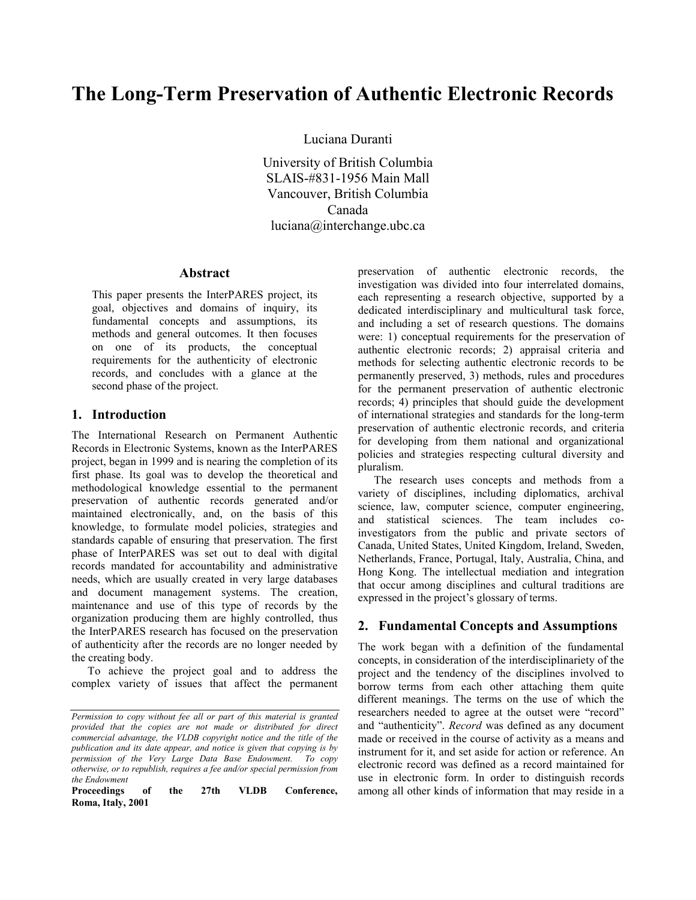# **The Long-Term Preservation of Authentic Electronic Records**

Luciana Duranti

University of British Columbia SLAIS-#831-1956 Main Mall Vancouver, British Columbia Canada luciana@interchange.ubc.ca

#### **Abstract**

This paper presents the InterPARES project, its goal, objectives and domains of inquiry, its fundamental concepts and assumptions, its methods and general outcomes. It then focuses on one of its products, the conceptual requirements for the authenticity of electronic records, and concludes with a glance at the second phase of the project.

## **1. Introduction**

The International Research on Permanent Authentic Records in Electronic Systems, known as the InterPARES project, began in 1999 and is nearing the completion of its first phase. Its goal was to develop the theoretical and methodological knowledge essential to the permanent preservation of authentic records generated and/or maintained electronically, and, on the basis of this knowledge, to formulate model policies, strategies and standards capable of ensuring that preservation. The first phase of InterPARES was set out to deal with digital records mandated for accountability and administrative needs, which are usually created in very large databases and document management systems. The creation, maintenance and use of this type of records by the organization producing them are highly controlled, thus the InterPARES research has focused on the preservation of authenticity after the records are no longer needed by the creating body.

To achieve the project goal and to address the complex variety of issues that affect the permanent

**Proceedings of the 27th VLDB Conference, Roma, Italy, 2001** 

preservation of authentic electronic records, the investigation was divided into four interrelated domains, each representing a research objective, supported by a dedicated interdisciplinary and multicultural task force, and including a set of research questions. The domains were: 1) conceptual requirements for the preservation of authentic electronic records; 2) appraisal criteria and methods for selecting authentic electronic records to be permanently preserved, 3) methods, rules and procedures for the permanent preservation of authentic electronic records; 4) principles that should guide the development of international strategies and standards for the long-term preservation of authentic electronic records, and criteria for developing from them national and organizational policies and strategies respecting cultural diversity and pluralism.

The research uses concepts and methods from a variety of disciplines, including diplomatics, archival science, law, computer science, computer engineering, and statistical sciences. The team includes coinvestigators from the public and private sectors of Canada, United States, United Kingdom, Ireland, Sweden, Netherlands, France, Portugal, Italy, Australia, China, and Hong Kong. The intellectual mediation and integration that occur among disciplines and cultural traditions are expressed in the project's glossary of terms.

### **2. Fundamental Concepts and Assumptions**

The work began with a definition of the fundamental concepts, in consideration of the interdisciplinariety of the project and the tendency of the disciplines involved to borrow terms from each other attaching them quite different meanings. The terms on the use of which the researchers needed to agree at the outset were "record" and "authenticity". *Record* was defined as any document made or received in the course of activity as a means and instrument for it, and set aside for action or reference. An electronic record was defined as a record maintained for use in electronic form. In order to distinguish records among all other kinds of information that may reside in a

*Permission to copy without fee all or part of this material is granted provided that the copies are not made or distributed for direct commercial advantage, the VLDB copyright notice and the title of the publication and its date appear, and notice is given that copying is by permission of the Very Large Data Base Endowment. To copy otherwise, or to republish, requires a fee and/or special permission from the Endowment*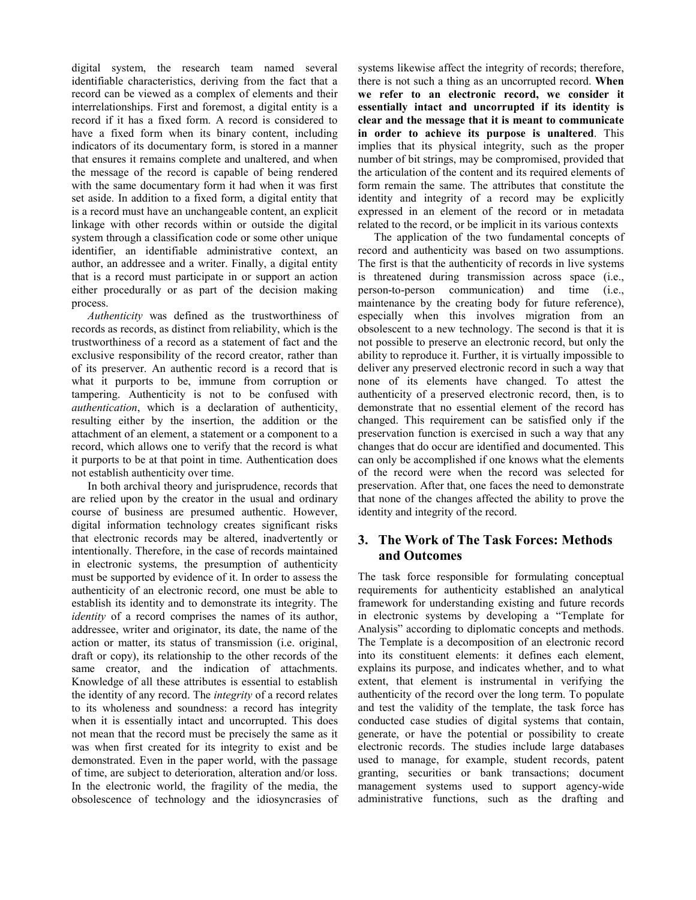digital system, the research team named several identifiable characteristics, deriving from the fact that a record can be viewed as a complex of elements and their interrelationships. First and foremost, a digital entity is a record if it has a fixed form. A record is considered to have a fixed form when its binary content, including indicators of its documentary form, is stored in a manner that ensures it remains complete and unaltered, and when the message of the record is capable of being rendered with the same documentary form it had when it was first set aside. In addition to a fixed form, a digital entity that is a record must have an unchangeable content, an explicit linkage with other records within or outside the digital system through a classification code or some other unique identifier, an identifiable administrative context, an author, an addressee and a writer. Finally, a digital entity that is a record must participate in or support an action either procedurally or as part of the decision making process.

*Authenticity* was defined as the trustworthiness of records as records, as distinct from reliability, which is the trustworthiness of a record as a statement of fact and the exclusive responsibility of the record creator, rather than of its preserver. An authentic record is a record that is what it purports to be, immune from corruption or tampering. Authenticity is not to be confused with *authentication*, which is a declaration of authenticity, resulting either by the insertion, the addition or the attachment of an element, a statement or a component to a record, which allows one to verify that the record is what it purports to be at that point in time. Authentication does not establish authenticity over time.

In both archival theory and jurisprudence, records that are relied upon by the creator in the usual and ordinary course of business are presumed authentic. However, digital information technology creates significant risks that electronic records may be altered, inadvertently or intentionally. Therefore, in the case of records maintained in electronic systems, the presumption of authenticity must be supported by evidence of it. In order to assess the authenticity of an electronic record, one must be able to establish its identity and to demonstrate its integrity. The *identity* of a record comprises the names of its author, addressee, writer and originator, its date, the name of the action or matter, its status of transmission (i.e. original, draft or copy), its relationship to the other records of the same creator, and the indication of attachments. Knowledge of all these attributes is essential to establish the identity of any record. The *integrity* of a record relates to its wholeness and soundness: a record has integrity when it is essentially intact and uncorrupted. This does not mean that the record must be precisely the same as it was when first created for its integrity to exist and be demonstrated. Even in the paper world, with the passage of time, are subject to deterioration, alteration and/or loss. In the electronic world, the fragility of the media, the obsolescence of technology and the idiosyncrasies of systems likewise affect the integrity of records; therefore, there is not such a thing as an uncorrupted record. **When we refer to an electronic record, we consider it essentially intact and uncorrupted if its identity is clear and the message that it is meant to communicate in order to achieve its purpose is unaltered**. This implies that its physical integrity, such as the proper number of bit strings, may be compromised, provided that the articulation of the content and its required elements of form remain the same. The attributes that constitute the identity and integrity of a record may be explicitly expressed in an element of the record or in metadata related to the record, or be implicit in its various contexts

The application of the two fundamental concepts of record and authenticity was based on two assumptions. The first is that the authenticity of records in live systems is threatened during transmission across space (i.e., person-to-person communication) and time (i.e., maintenance by the creating body for future reference), especially when this involves migration from an obsolescent to a new technology. The second is that it is not possible to preserve an electronic record, but only the ability to reproduce it. Further, it is virtually impossible to deliver any preserved electronic record in such a way that none of its elements have changed. To attest the authenticity of a preserved electronic record, then, is to demonstrate that no essential element of the record has changed. This requirement can be satisfied only if the preservation function is exercised in such a way that any changes that do occur are identified and documented. This can only be accomplished if one knows what the elements of the record were when the record was selected for preservation. After that, one faces the need to demonstrate that none of the changes affected the ability to prove the identity and integrity of the record.

## **3. The Work of The Task Forces: Methods and Outcomes**

The task force responsible for formulating conceptual requirements for authenticity established an analytical framework for understanding existing and future records in electronic systems by developing a "Template for Analysis" according to diplomatic concepts and methods. The Template is a decomposition of an electronic record into its constituent elements: it defines each element, explains its purpose, and indicates whether, and to what extent, that element is instrumental in verifying the authenticity of the record over the long term. To populate and test the validity of the template, the task force has conducted case studies of digital systems that contain, generate, or have the potential or possibility to create electronic records. The studies include large databases used to manage, for example, student records, patent granting, securities or bank transactions; document management systems used to support agency-wide administrative functions, such as the drafting and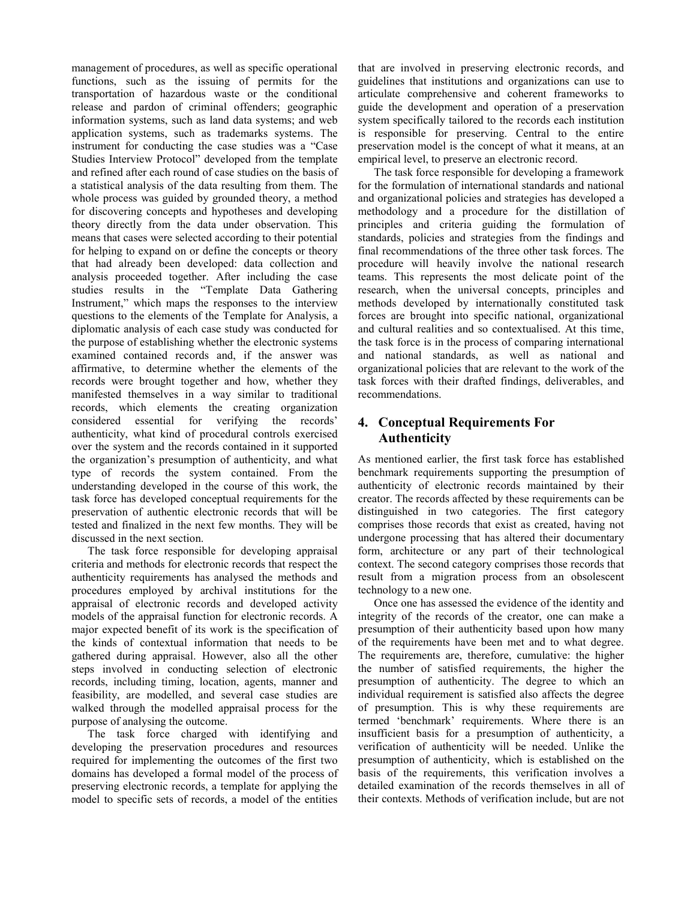management of procedures, as well as specific operational functions, such as the issuing of permits for the transportation of hazardous waste or the conditional release and pardon of criminal offenders; geographic information systems, such as land data systems; and web application systems, such as trademarks systems. The instrument for conducting the case studies was a "Case Studies Interview Protocol" developed from the template and refined after each round of case studies on the basis of a statistical analysis of the data resulting from them. The whole process was guided by grounded theory, a method for discovering concepts and hypotheses and developing theory directly from the data under observation. This means that cases were selected according to their potential for helping to expand on or define the concepts or theory that had already been developed: data collection and analysis proceeded together. After including the case studies results in the "Template Data Gathering Instrument," which maps the responses to the interview questions to the elements of the Template for Analysis, a diplomatic analysis of each case study was conducted for the purpose of establishing whether the electronic systems examined contained records and, if the answer was affirmative, to determine whether the elements of the records were brought together and how, whether they manifested themselves in a way similar to traditional records, which elements the creating organization considered essential for verifying the records' authenticity, what kind of procedural controls exercised over the system and the records contained in it supported the organization's presumption of authenticity, and what type of records the system contained. From the understanding developed in the course of this work, the task force has developed conceptual requirements for the preservation of authentic electronic records that will be tested and finalized in the next few months. They will be discussed in the next section.

The task force responsible for developing appraisal criteria and methods for electronic records that respect the authenticity requirements has analysed the methods and procedures employed by archival institutions for the appraisal of electronic records and developed activity models of the appraisal function for electronic records. A major expected benefit of its work is the specification of the kinds of contextual information that needs to be gathered during appraisal. However, also all the other steps involved in conducting selection of electronic records, including timing, location, agents, manner and feasibility, are modelled, and several case studies are walked through the modelled appraisal process for the purpose of analysing the outcome.

The task force charged with identifying and developing the preservation procedures and resources required for implementing the outcomes of the first two domains has developed a formal model of the process of preserving electronic records, a template for applying the model to specific sets of records, a model of the entities

that are involved in preserving electronic records, and guidelines that institutions and organizations can use to articulate comprehensive and coherent frameworks to guide the development and operation of a preservation system specifically tailored to the records each institution is responsible for preserving. Central to the entire preservation model is the concept of what it means, at an empirical level, to preserve an electronic record.

The task force responsible for developing a framework for the formulation of international standards and national and organizational policies and strategies has developed a methodology and a procedure for the distillation of principles and criteria guiding the formulation of standards, policies and strategies from the findings and final recommendations of the three other task forces. The procedure will heavily involve the national research teams. This represents the most delicate point of the research, when the universal concepts, principles and methods developed by internationally constituted task forces are brought into specific national, organizational and cultural realities and so contextualised. At this time, the task force is in the process of comparing international and national standards, as well as national and organizational policies that are relevant to the work of the task forces with their drafted findings, deliverables, and recommendations.

# **4. Conceptual Requirements For Authenticity**

As mentioned earlier, the first task force has established benchmark requirements supporting the presumption of authenticity of electronic records maintained by their creator. The records affected by these requirements can be distinguished in two categories. The first category comprises those records that exist as created, having not undergone processing that has altered their documentary form, architecture or any part of their technological context. The second category comprises those records that result from a migration process from an obsolescent technology to a new one.

Once one has assessed the evidence of the identity and integrity of the records of the creator, one can make a presumption of their authenticity based upon how many of the requirements have been met and to what degree. The requirements are, therefore, cumulative: the higher the number of satisfied requirements, the higher the presumption of authenticity. The degree to which an individual requirement is satisfied also affects the degree of presumption. This is why these requirements are termed 'benchmark' requirements. Where there is an insufficient basis for a presumption of authenticity, a verification of authenticity will be needed. Unlike the presumption of authenticity, which is established on the basis of the requirements, this verification involves a detailed examination of the records themselves in all of their contexts. Methods of verification include, but are not